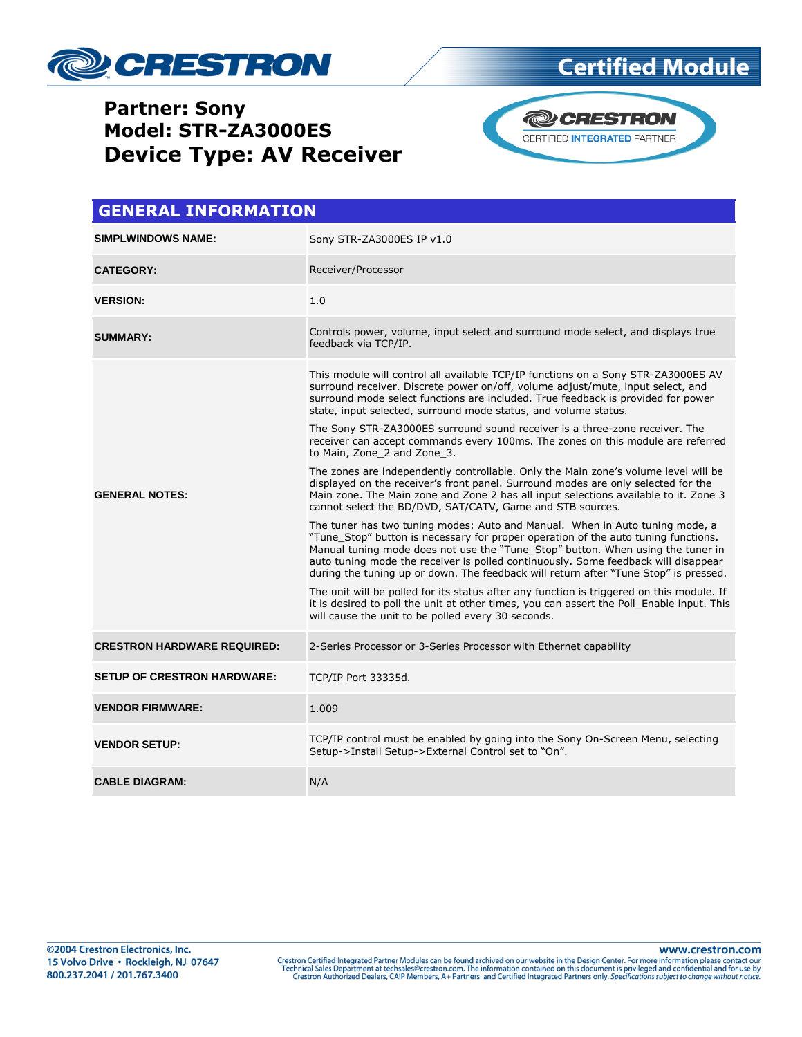

## **Certified Module**

### **Partner: Sony Model: STR-ZA3000ES Device Type: AV Receiver**



| <b>GENERAL INFORMATION</b>         |                                                                                                                                                                                                                                                                                                                                                                                                                                     |  |  |  |
|------------------------------------|-------------------------------------------------------------------------------------------------------------------------------------------------------------------------------------------------------------------------------------------------------------------------------------------------------------------------------------------------------------------------------------------------------------------------------------|--|--|--|
| <b>SIMPLWINDOWS NAME:</b>          | Sony STR-ZA3000ES IP v1.0                                                                                                                                                                                                                                                                                                                                                                                                           |  |  |  |
| <b>CATEGORY:</b>                   | Receiver/Processor                                                                                                                                                                                                                                                                                                                                                                                                                  |  |  |  |
| <b>VERSION:</b>                    | 1.0                                                                                                                                                                                                                                                                                                                                                                                                                                 |  |  |  |
| <b>SUMMARY:</b>                    | Controls power, volume, input select and surround mode select, and displays true<br>feedback via TCP/IP.                                                                                                                                                                                                                                                                                                                            |  |  |  |
| <b>GENERAL NOTES:</b>              | This module will control all available TCP/IP functions on a Sony STR-ZA3000ES AV<br>surround receiver. Discrete power on/off, volume adjust/mute, input select, and<br>surround mode select functions are included. True feedback is provided for power<br>state, input selected, surround mode status, and volume status.                                                                                                         |  |  |  |
|                                    | The Sony STR-ZA3000ES surround sound receiver is a three-zone receiver. The<br>receiver can accept commands every 100ms. The zones on this module are referred<br>to Main, Zone 2 and Zone 3.                                                                                                                                                                                                                                       |  |  |  |
|                                    | The zones are independently controllable. Only the Main zone's volume level will be<br>displayed on the receiver's front panel. Surround modes are only selected for the<br>Main zone. The Main zone and Zone 2 has all input selections available to it. Zone 3<br>cannot select the BD/DVD, SAT/CATV, Game and STB sources.                                                                                                       |  |  |  |
|                                    | The tuner has two tuning modes: Auto and Manual. When in Auto tuning mode, a<br>"Tune_Stop" button is necessary for proper operation of the auto tuning functions.<br>Manual tuning mode does not use the "Tune_Stop" button. When using the tuner in<br>auto tuning mode the receiver is polled continuously. Some feedback will disappear<br>during the tuning up or down. The feedback will return after "Tune Stop" is pressed. |  |  |  |
|                                    | The unit will be polled for its status after any function is triggered on this module. If<br>it is desired to poll the unit at other times, you can assert the Poll Enable input. This<br>will cause the unit to be polled every 30 seconds.                                                                                                                                                                                        |  |  |  |
| <b>CRESTRON HARDWARE REQUIRED:</b> | 2-Series Processor or 3-Series Processor with Ethernet capability                                                                                                                                                                                                                                                                                                                                                                   |  |  |  |
| <b>SETUP OF CRESTRON HARDWARE:</b> | TCP/IP Port 33335d.                                                                                                                                                                                                                                                                                                                                                                                                                 |  |  |  |
| <b>VENDOR FIRMWARE:</b>            | 1.009                                                                                                                                                                                                                                                                                                                                                                                                                               |  |  |  |
| <b>VENDOR SETUP:</b>               | TCP/IP control must be enabled by going into the Sony On-Screen Menu, selecting<br>Setup->Install Setup->External Control set to "On".                                                                                                                                                                                                                                                                                              |  |  |  |
| <b>CABLE DIAGRAM:</b>              | N/A                                                                                                                                                                                                                                                                                                                                                                                                                                 |  |  |  |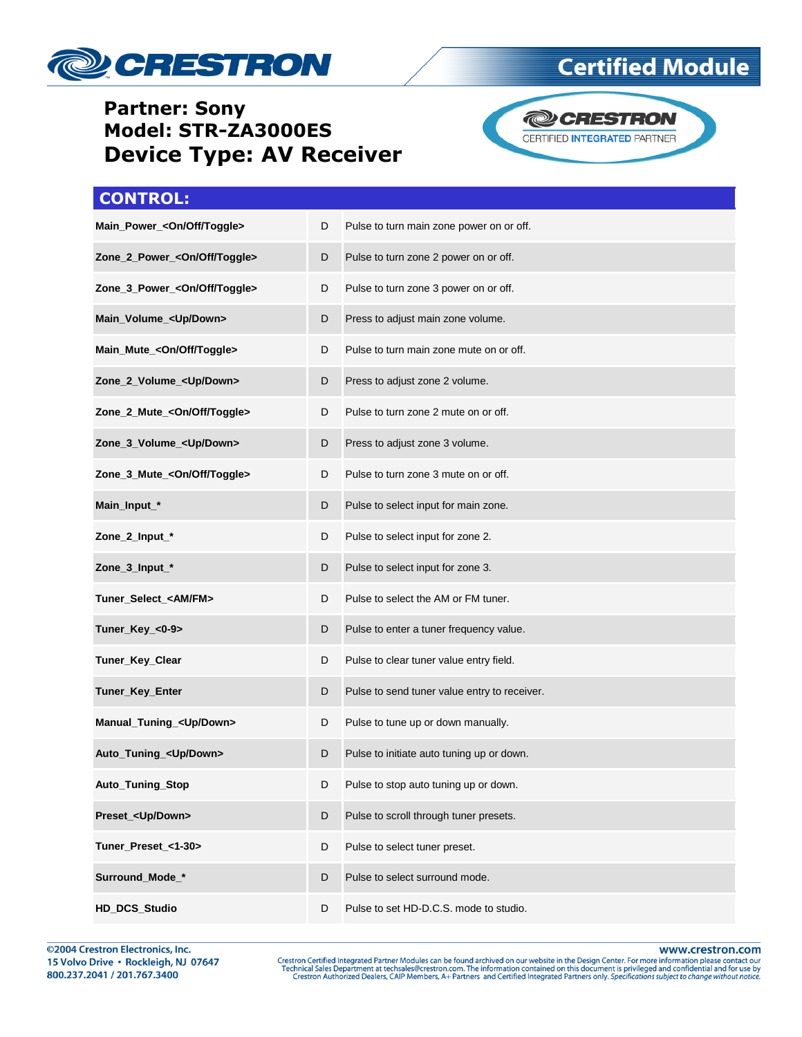

#### **Partner: Sony Model: STR-ZA3000ES Device Type: AV Receiver**



CERTIFIED INTEGRATED PARTNER

## **CONTROL:**

| Main_Power_ <on off="" toggle=""></on>   | D | Pulse to turn main zone power on or off.     |
|------------------------------------------|---|----------------------------------------------|
| Zone_2_Power_ <on off="" toggle=""></on> | D | Pulse to turn zone 2 power on or off.        |
| Zone_3_Power_ <on off="" toggle=""></on> | D | Pulse to turn zone 3 power on or off.        |
| Main_Volume_ <up down=""></up>           | D | Press to adjust main zone volume.            |
| Main_Mute_ <on off="" toggle=""></on>    | D | Pulse to turn main zone mute on or off.      |
| Zone_2_Volume_ <up down=""></up>         | D | Press to adjust zone 2 volume.               |
| Zone_2_Mute_ <on off="" toggle=""></on>  | D | Pulse to turn zone 2 mute on or off.         |
| Zone_3_Volume_ <up down=""></up>         | D | Press to adjust zone 3 volume.               |
| Zone_3_Mute_ <on off="" toggle=""></on>  | D | Pulse to turn zone 3 mute on or off.         |
| Main_Input_*                             | D | Pulse to select input for main zone.         |
| Zone_2_Input_*                           | D | Pulse to select input for zone 2.            |
| Zone_3_Input_*                           | D | Pulse to select input for zone 3.            |
| Tuner_Select_ <am fm=""></am>            | D | Pulse to select the AM or FM tuner.          |
| Tuner_Key_<0-9>                          | D | Pulse to enter a tuner frequency value.      |
| Tuner_Key_Clear                          | D | Pulse to clear tuner value entry field.      |
| Tuner_Key_Enter                          | D | Pulse to send tuner value entry to receiver. |
| Manual_Tuning_ <up down=""></up>         | D | Pulse to tune up or down manually.           |
| Auto_Tuning_ <up down=""></up>           | D | Pulse to initiate auto tuning up or down.    |
| Auto_Tuning_Stop                         | D | Pulse to stop auto tuning up or down.        |
| Preset_ <up down=""></up>                | D | Pulse to scroll through tuner presets.       |
| Tuner Preset <1-30>                      | D | Pulse to select tuner preset.                |
| Surround_Mode_*                          | D | Pulse to select surround mode.               |
| HD_DCS_Studio                            | D | Pulse to set HD-D.C.S. mode to studio.       |

www.crestron.com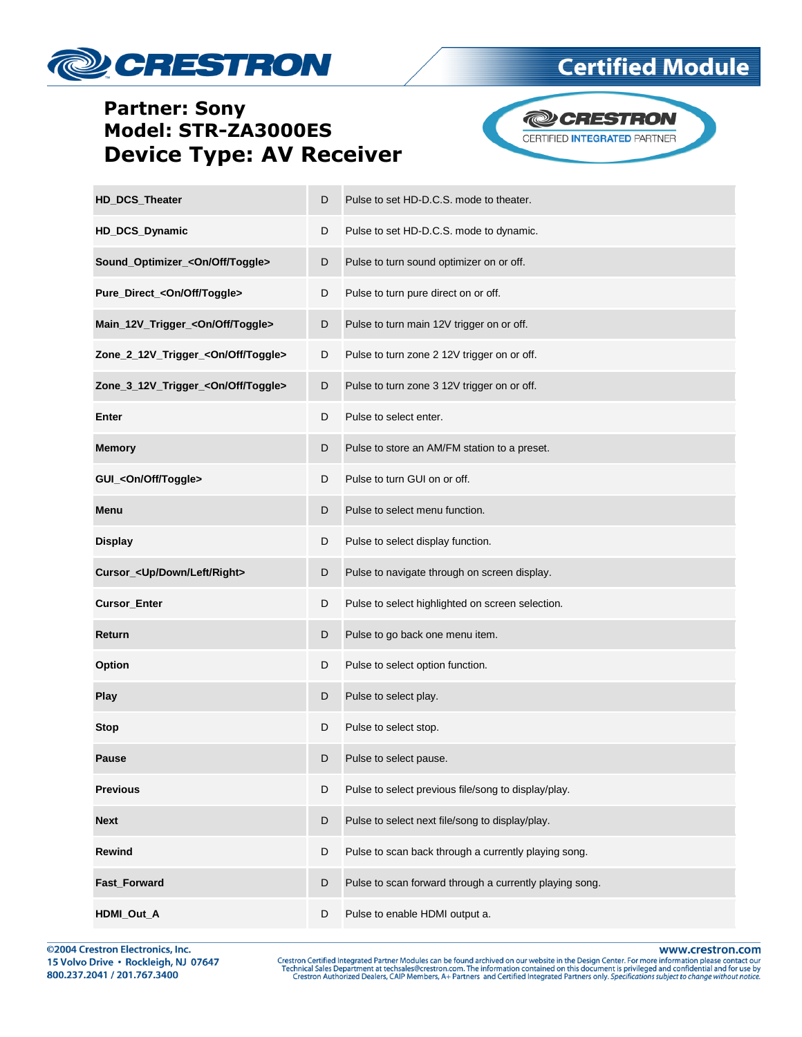# **DECRESTRON**

#### **Partner: Sony** Model: STR-ZA3000ES **Device Type: AV Receiver**



**Certified Module** 

| HD_DCS_Theater                                 | D | Pulse to set HD-D.C.S. mode to theater.                 |
|------------------------------------------------|---|---------------------------------------------------------|
| HD_DCS_Dynamic                                 | D | Pulse to set HD-D.C.S. mode to dynamic.                 |
| Sound_Optimizer_ <on off="" toggle=""></on>    | D | Pulse to turn sound optimizer on or off.                |
| Pure_Direct_ <on off="" toggle=""></on>        | D | Pulse to turn pure direct on or off.                    |
| Main_12V_Trigger_ <on off="" toggle=""></on>   | D | Pulse to turn main 12V trigger on or off.               |
| Zone_2_12V_Trigger_ <on off="" toggle=""></on> | D | Pulse to turn zone 2 12V trigger on or off.             |
| Zone_3_12V_Trigger_ <on off="" toggle=""></on> | D | Pulse to turn zone 3 12V trigger on or off.             |
| Enter                                          | D | Pulse to select enter.                                  |
| <b>Memory</b>                                  | D | Pulse to store an AM/FM station to a preset.            |
| GUI_ <on off="" toggle=""></on>                | D | Pulse to turn GUI on or off.                            |
| Menu                                           | D | Pulse to select menu function.                          |
| <b>Display</b>                                 | D | Pulse to select display function.                       |
| Cursor_ <up down="" left="" right=""></up>     | D | Pulse to navigate through on screen display.            |
| <b>Cursor_Enter</b>                            | D | Pulse to select highlighted on screen selection.        |
| Return                                         | D | Pulse to go back one menu item.                         |
| Option                                         | D | Pulse to select option function.                        |
| Play                                           | D | Pulse to select play.                                   |
| <b>Stop</b>                                    | D | Pulse to select stop.                                   |
| <b>Pause</b>                                   | D | Pulse to select pause.                                  |
| <b>Previous</b>                                | D | Pulse to select previous file/song to display/play.     |
| <b>Next</b>                                    | D | Pulse to select next file/song to display/play.         |
| <b>Rewind</b>                                  | D | Pulse to scan back through a currently playing song.    |
| Fast_Forward                                   | D | Pulse to scan forward through a currently playing song. |
| HDMI_Out_A                                     | D | Pulse to enable HDMI output a.                          |

@2004 Crestron Electronics, Inc. 15 Volvo Drive · Rockleigh, NJ 07647 800.237.2041 / 201.767.3400

www.crestron.com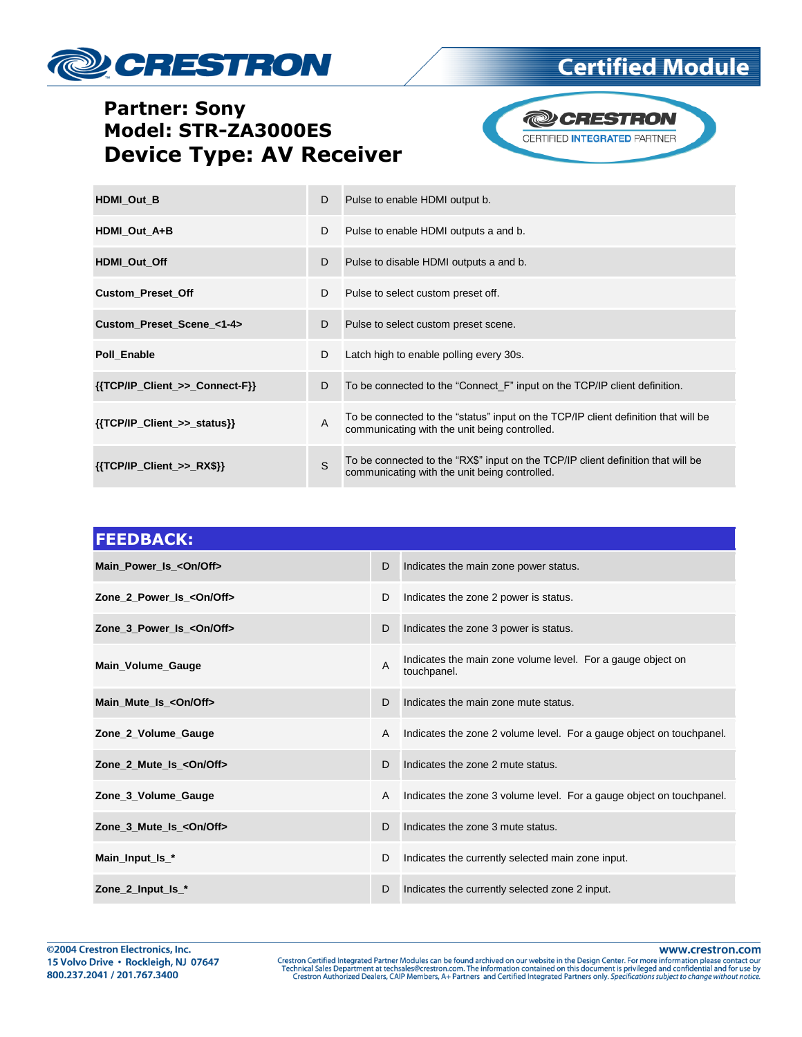# **DECRESTRON**

## **Certified Module**

### **Partner: Sony** Model: STR-ZA3000ES **Device Type: AV Receiver**



| <b>HDMI Out B</b>                | D            | Pulse to enable HDMI output b.                                                                                                      |
|----------------------------------|--------------|-------------------------------------------------------------------------------------------------------------------------------------|
| HDMI_Out_A+B                     | D            | Pulse to enable HDMI outputs a and b.                                                                                               |
| HDMI Out Off                     | D            | Pulse to disable HDMI outputs a and b.                                                                                              |
| <b>Custom Preset Off</b>         | D            | Pulse to select custom preset off.                                                                                                  |
| Custom Preset Scene <1-4>        | D            | Pulse to select custom preset scene.                                                                                                |
| Poll Enable                      | D            | Latch high to enable polling every 30s.                                                                                             |
| ${TCP/IP}$ Client >> Connect-F}} | D            | To be connected to the "Connect F" input on the TCP/IP client definition.                                                           |
| {{TCP/IP_Client_>>_status}}      | A            | To be connected to the "status" input on the TCP/IP client definition that will be<br>communicating with the unit being controlled. |
| $\{ \{ TCP/IP\_Client \} \}$     | $\mathbf{s}$ | To be connected to the "RX\$" input on the TCP/IP client definition that will be<br>communicating with the unit being controlled.   |

| <b>FEEDBACK:</b>                 |   |                                                                            |
|----------------------------------|---|----------------------------------------------------------------------------|
| Main_Power_Is_ <on off=""></on>  | D | Indicates the main zone power status.                                      |
| Zone 2 Power Is < On/Off>        | D | Indicates the zone 2 power is status.                                      |
| Zone 3 Power Is < On/Off>        | D | Indicates the zone 3 power is status.                                      |
| Main_Volume_Gauge                | A | Indicates the main zone volume level. For a gauge object on<br>touchpanel. |
| Main_Mute_Is_ <on off=""></on>   | D | Indicates the main zone mute status.                                       |
| Zone_2_Volume_Gauge              | A | Indicates the zone 2 volume level. For a gauge object on touch panel.      |
| Zone 2 Mute_Is_ <on off=""></on> | D | Indicates the zone 2 mute status.                                          |
| Zone_3_Volume_Gauge              | A | Indicates the zone 3 volume level. For a gauge object on touch panel.      |
| Zone 3 Mute Is < On/Off>         | D | Indicates the zone 3 mute status.                                          |
| Main_Input_Is_*                  | D | Indicates the currently selected main zone input.                          |
| Zone_2_Input_Is_*                | D | Indicates the currently selected zone 2 input.                             |

www.crestron.com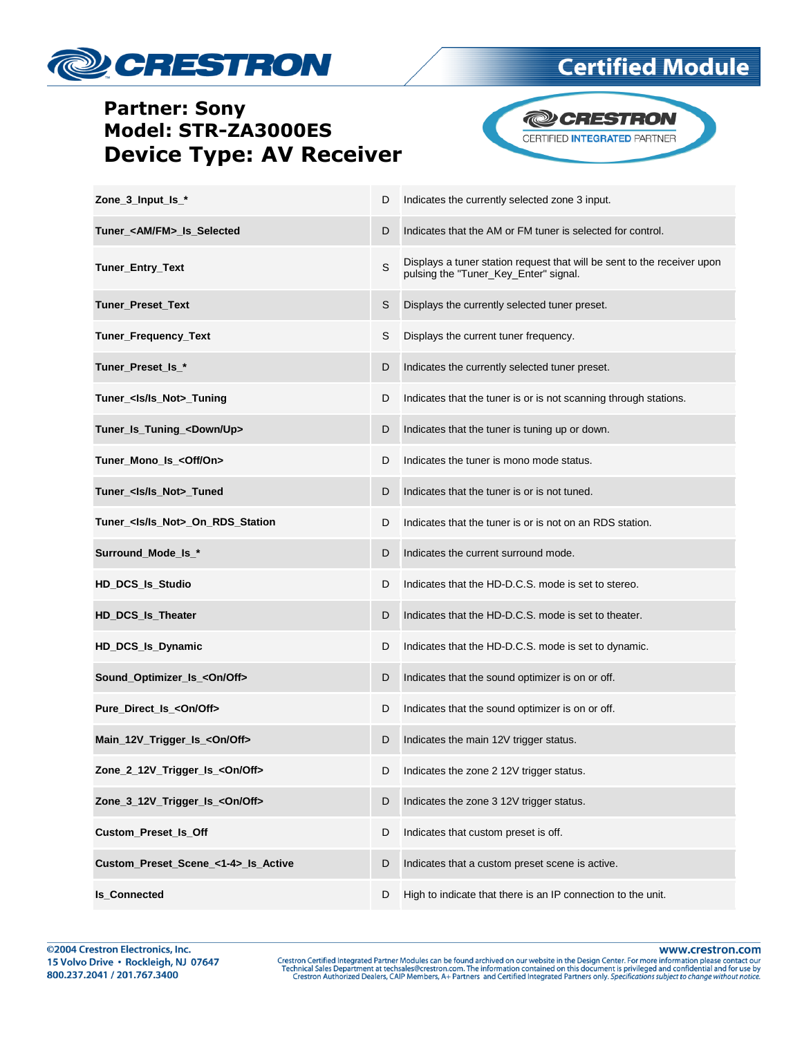

## **Certified Module**

### **Partner: Sony** Model: STR-ZA3000ES **Device Type: AV Receiver**



| Zone_3_Input_Is_*                         | D | Indicates the currently selected zone 3 input.                                                                   |
|-------------------------------------------|---|------------------------------------------------------------------------------------------------------------------|
| Tuner_ <am fm="">_Is_Selected</am>        | D | Indicates that the AM or FM tuner is selected for control.                                                       |
| Tuner_Entry_Text                          | S | Displays a tuner station request that will be sent to the receiver upon<br>pulsing the "Tuner_Key_Enter" signal. |
| Tuner_Preset_Text                         | S | Displays the currently selected tuner preset.                                                                    |
| Tuner_Frequency_Text                      | S | Displays the current tuner frequency.                                                                            |
| Tuner_Preset_Is_*                         | D | Indicates the currently selected tuner preset.                                                                   |
| Tuner_ <ls ls_not="">_Tuning</ls>         | D | Indicates that the tuner is or is not scanning through stations.                                                 |
| Tuner_Is_Tuning_ <down up=""></down>      | D | Indicates that the tuner is tuning up or down.                                                                   |
| Tuner_Mono_Is_ <off on=""></off>          | D | Indicates the tuner is mono mode status.                                                                         |
| Tuner_ <ls ls_not="">_Tuned</ls>          | D | Indicates that the tuner is or is not tuned.                                                                     |
| Tuner_ <ls ls_not="">_On_RDS_Station</ls> | D | Indicates that the tuner is or is not on an RDS station.                                                         |
| Surround_Mode_Is_*                        | D | Indicates the current surround mode.                                                                             |
| HD_DCS_Is_Studio                          | D | Indicates that the HD-D.C.S. mode is set to stereo.                                                              |
| <b>HD_DCS_Is_Theater</b>                  | D | Indicates that the HD-D.C.S. mode is set to theater.                                                             |
| HD_DCS_Is_Dynamic                         | D | Indicates that the HD-D.C.S. mode is set to dynamic.                                                             |
| Sound_Optimizer_Is_ <on off=""></on>      | D | Indicates that the sound optimizer is on or off.                                                                 |
| Pure_Direct_Is_ <on off=""></on>          | D | Indicates that the sound optimizer is on or off.                                                                 |
| Main_12V_Trigger_Is_ <on off=""></on>     | D | Indicates the main 12V trigger status.                                                                           |
| Zone_2_12V_Trigger_Is_ <on off=""></on>   | D | Indicates the zone 2 12V trigger status.                                                                         |
| Zone_3_12V_Trigger_Is_ <on off=""></on>   | D | Indicates the zone 3 12V trigger status.                                                                         |
| Custom_Preset_Is_Off                      | D | Indicates that custom preset is off.                                                                             |
| Custom_Preset_Scene_<1-4>_Is_Active       | D | Indicates that a custom preset scene is active.                                                                  |
| <b>Is_Connected</b>                       | D | High to indicate that there is an IP connection to the unit.                                                     |

www.crestron.com